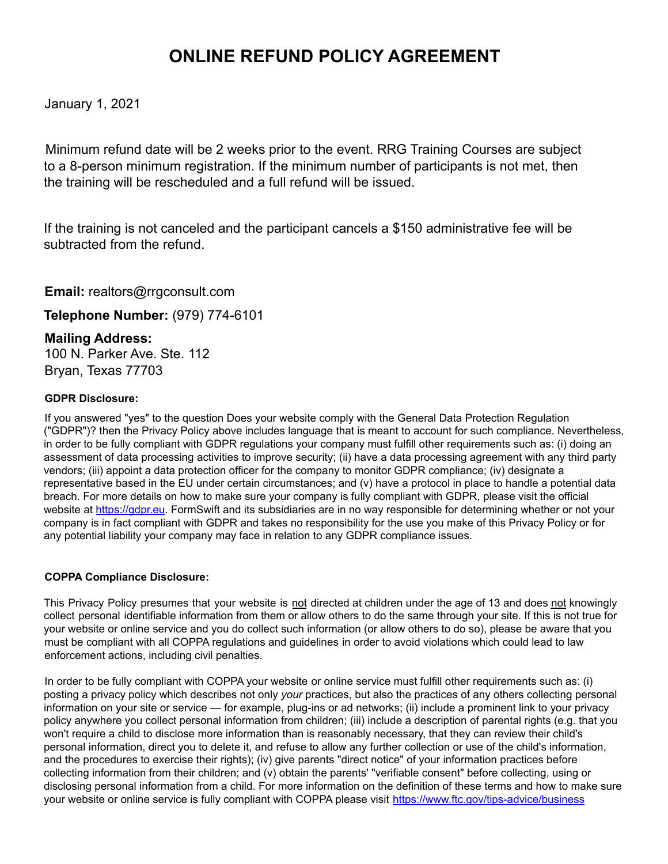## **ONLINE REFUND POLICY AGREEMENT**

January 1, 2021

Minimum refund date will be 2 weeks prior to the event. RRG Training Courses are subject to a 8-person minimum registration. If the minimum number of participants is not met, then the training will be rescheduled and a full refund will be issued.

If the training is not canceled and the participant cancels a \$150 administrative fee will be subtracted from the refund.

**Email:** realtors@rrgconsult.com

**Telephone Number:** (979) 774-6101

## **Mailing Address:**

100 N. Parker Ave. Ste. 112 Bryan, Texas 77703

## **GDPR Disclosure:**

If you answered "yes" to the question Does your website comply with the General Data Protection Regulation ("GDPR")? then the Privacy Policy above includes language that is meant to account for such compliance. Nevertheless, in order to be fully compliant with GDPR regulations your company must fulfill other requirements such as: (i) doing an assessment of data processing activities to improve security; (ii) have a data processing agreement with any third party vendors; (iii) appoint a data protection officer for the company to monitor GDPR compliance; (iv) designate a representative based in the EU under certain circumstances; and (v) have a protocol in place to handle a potential data breach. For more details on how to make sure your company is fully compliant with GDPR, please visit the official website at https://gdpr.eu. FormSwift and its subsidiaries are in no way responsible for determining whether or not your company is in fact compliant with GDPR and takes no responsibility for the use you make of this Privacy Policy or for any potential liability your company may face in relation to any GDPR compliance issues.

## **COPPA Compliance Disclosure:**

This Privacy Policy presumes that your website is not directed at children under the age of 13 and does not knowingly collect personal identifiable information from them or allow others to do the same through your site. If this is not true for your website or online service and you do collect such information (or allow others to do so), please be aware that you must be compliant with all COPPA regulations and guidelines in order to avoid violations which could lead to law enforcement actions, including civil penalties.

In order to be fully compliant with COPPA your website or online service must fulfill other requirements such as: (i) posting a privacy policy which describes not only *your* practices, but also the practices of any others collecting personal information on your site or service — for example, plug-ins or ad networks; (ii) include a prominent link to your privacy policy anywhere you collect personal information from children; (iii) include a description of parental rights (e.g. that you won't require a child to disclose more information than is reasonably necessary, that they can review their child's personal information, direct you to delete it, and refuse to allow any further collection or use of the child's information, and the procedures to exercise their rights); (iv) give parents "direct notice" of your information practices before collecting information from their children; and (v) obtain the parents' "verifiable consent" before collecting, using or disclosing personal information from a child. For more information on the definition of these terms and how to make sure your website or online service is fully compliant with COPPA please visit https://www.ftc.gov/tips-advice/business